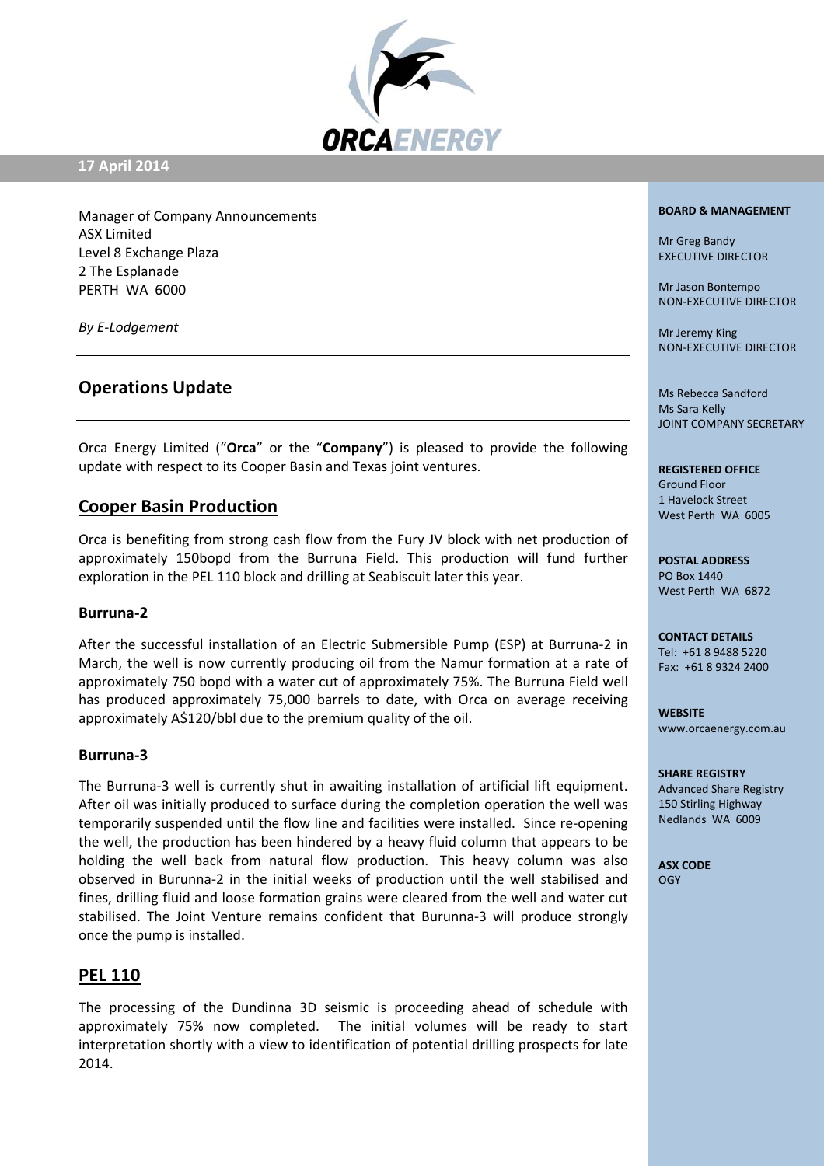

### **17 April 2014**

Manager of Company Announcements ASX Limited Level 8 Exchange Plaza 2 The Esplanade PERTH WA 6000

*By E‐Lodgement*

# **Operations Update**

Orca Energy Limited ("**Orca**" or the "**Company**") is pleased to provide the following update with respect to its Cooper Basin and Texas joint ventures.

## **Cooper Basin Production**

Orca is benefiting from strong cash flow from the Fury JV block with net production of approximately 150bopd from the Burruna Field. This production will fund further exploration in the PEL 110 block and drilling at Seabiscuit later this year.

### **Burruna‐2**

After the successful installation of an Electric Submersible Pump (ESP) at Burruna‐2 in March, the well is now currently producing oil from the Namur formation at a rate of approximately 750 bopd with a water cut of approximately 75%. The Burruna Field well has produced approximately 75,000 barrels to date, with Orca on average receiving approximately A\$120/bbl due to the premium quality of the oil.

### **Burruna‐3**

The Burruna‐3 well is currently shut in awaiting installation of artificial lift equipment. After oil was initially produced to surface during the completion operation the well was temporarily suspended until the flow line and facilities were installed. Since re-opening the well, the production has been hindered by a heavy fluid column that appears to be holding the well back from natural flow production. This heavy column was also observed in Burunna‐2 in the initial weeks of production until the well stabilised and fines, drilling fluid and loose formation grains were cleared from the well and water cut stabilised. The Joint Venture remains confident that Burunna‐3 will produce strongly once the pump is installed.

## **PEL 110**

The processing of the Dundinna 3D seismic is proceeding ahead of schedule with approximately 75% now completed. The initial volumes will be ready to start interpretation shortly with a view to identification of potential drilling prospects for late 2014.

#### **BOARD & MANAGEMENT**

Mr Greg Bandy EXECUTIVE DIRECTOR

Mr Jason Bontempo NON‐EXECUTIVE DIRECTOR

Mr Jeremy King NON‐EXECUTIVE DIRECTOR

Ms Rebecca Sandford Ms Sara Kelly JOINT COMPANY SECRETARY

#### **REGISTERED OFFICE**

Ground Floor 1 Havelock Street West Perth WA 6005

**POSTAL ADDRESS** PO Box 1440 West Perth WA 6872

**CONTACT DETAILS** Tel: +61 8 9488 5220 Fax: +61 8 9324 2400

**WEBSITE** www.orcaenergy.com.au

#### **SHARE REGISTRY**

Advanced Share Registry 150 Stirling Highway Nedlands WA 6009

**ASX CODE** OGY